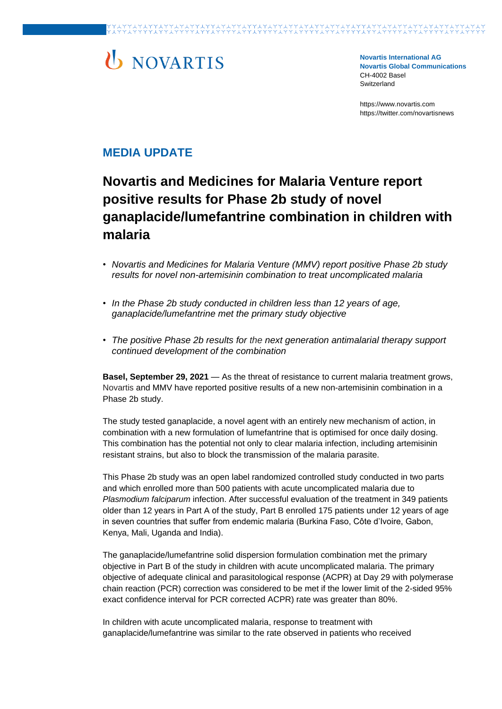**Novartis International AG Novartis Global Communications**  CH-4002 Basel **Switzerland** 

https://www.novartis.com https://twitter.com/novartisnews

## **MEDIA UPDATE**

# **Novartis and Medicines for Malaria Venture report positive results for Phase 2b study of novel ganaplacide/lumefantrine combination in children with malaria**

- *Novartis and Medicines for Malaria Venture (MMV) report positive Phase 2b study results for novel non-artemisinin combination to treat uncomplicated malaria*
- *In the Phase 2b study conducted in children less than 12 years of age, ganaplacide/lumefantrine met the primary study objective*
- *The positive Phase 2b results for the next generation antimalarial therapy support continued development of the combination*

**Basel, September 29, 2021** — As the threat of resistance to current malaria treatment grows, Novartis and MMV have reported positive results of a new non-artemisinin combination in a Phase 2b study.

The study tested ganaplacide, a novel agent with an entirely new mechanism of action, in combination with a new formulation of lumefantrine that is optimised for once daily dosing. This combination has the potential not only to clear malaria infection, including artemisinin resistant strains, but also to block the transmission of the malaria parasite.

This Phase 2b study was an open label randomized controlled study conducted in two parts and which enrolled more than 500 patients with acute uncomplicated malaria due to *Plasmodium falciparum* infection. After successful evaluation of the treatment in 349 patients older than 12 years in Part A of the study, Part B enrolled 175 patients under 12 years of age in seven countries that suffer from endemic malaria (Burkina Faso, Côte d'Ivoire, Gabon, Kenya, Mali, Uganda and India).

The ganaplacide/lumefantrine solid dispersion formulation combination met the primary objective in Part B of the study in children with acute uncomplicated malaria. The primary objective of adequate clinical and parasitological response (ACPR) at Day 29 with polymerase chain reaction (PCR) correction was considered to be met if the lower limit of the 2-sided 95% exact confidence interval for PCR corrected ACPR) rate was greater than 80%.

In children with acute uncomplicated malaria, response to treatment with ganaplacide/lumefantrine was similar to the rate observed in patients who received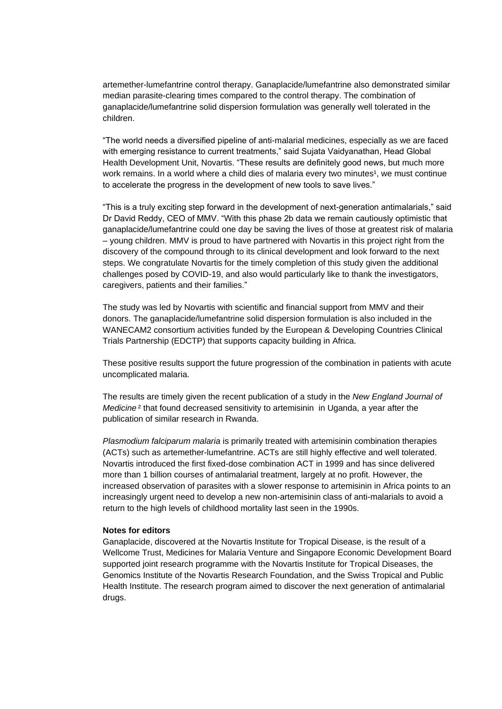artemether-lumefantrine control therapy. Ganaplacide/lumefantrine also demonstrated similar median parasite-clearing times compared to the control therapy. The combination of ganaplacide/lumefantrine solid dispersion formulation was generally well tolerated in the children.

"The world needs a diversified pipeline of anti-malarial medicines, especially as we are faced with emerging resistance to current treatments," said Sujata Vaidyanathan, Head Global Health Development Unit, Novartis. "These results are definitely good news, but much more work remains. In a world where a child dies of malaria every two minutes<sup>1</sup>, we must continue to accelerate the progress in the development of new tools to save lives."

"This is a truly exciting step forward in the development of next-generation antimalarials," said Dr David Reddy, CEO of MMV. "With this phase 2b data we remain cautiously optimistic that ganaplacide/lumefantrine could one day be saving the lives of those at greatest risk of malaria – young children. MMV is proud to have partnered with Novartis in this project right from the discovery of the compound through to its clinical development and look forward to the next steps. We congratulate Novartis for the timely completion of this study given the additional challenges posed by COVID-19, and also would particularly like to thank the investigators, caregivers, patients and their families."

The study was led by Novartis with scientific and financial support from MMV and their donors. The ganaplacide/lumefantrine solid dispersion formulation is also included in the WANECAM2 consortium activities funded by the European & Developing Countries Clinical Trials Partnership (EDCTP) that supports capacity building in Africa.

These positive results support the future progression of the combination in patients with acute uncomplicated malaria.

The results are timely given the recent publication of a study in the *New England Journal of Medicine*<sup>2</sup> that found decreased sensitivity to artemisinin in Uganda, a year after the publication of similar research in Rwanda.

*Plasmodium falciparum malaria* is primarily treated with artemisinin combination therapies (ACTs) such as artemether-lumefantrine. ACTs are still highly effective and well tolerated. Novartis introduced the first fixed-dose combination ACT in 1999 and has since delivered more than 1 billion courses of antimalarial treatment, largely at no profit. However, the increased observation of parasites with a slower response to artemisinin in Africa points to an increasingly urgent need to develop a new non-artemisinin class of anti-malarials to avoid a return to the high levels of childhood mortality last seen in the 1990s.

#### **Notes for editors**

Ganaplacide, discovered at the Novartis Institute for Tropical Disease, is the result of a Wellcome Trust, Medicines for Malaria Venture and Singapore Economic Development Board supported joint research programme with the Novartis Institute for Tropical Diseases, the Genomics Institute of the Novartis Research Foundation, and the Swiss Tropical and Public Health Institute. The research program aimed to discover the next generation of antimalarial drugs.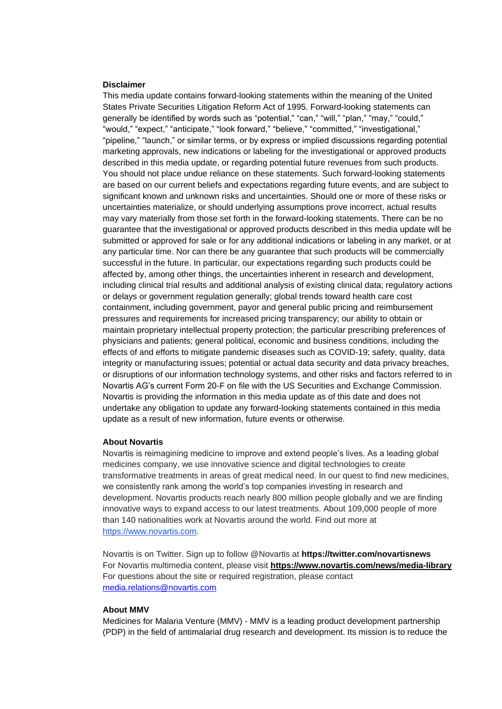#### **Disclaimer**

This media update contains forward-looking statements within the meaning of the United States Private Securities Litigation Reform Act of 1995. Forward-looking statements can generally be identified by words such as "potential," "can," "will," "plan," "may," "could," "would," "expect," "anticipate," "look forward," "believe," "committed," "investigational," "pipeline," "launch," or similar terms, or by express or implied discussions regarding potential marketing approvals, new indications or labeling for the investigational or approved products described in this media update, or regarding potential future revenues from such products. You should not place undue reliance on these statements. Such forward-looking statements are based on our current beliefs and expectations regarding future events, and are subject to significant known and unknown risks and uncertainties. Should one or more of these risks or uncertainties materialize, or should underlying assumptions prove incorrect, actual results may vary materially from those set forth in the forward-looking statements. There can be no guarantee that the investigational or approved products described in this media update will be submitted or approved for sale or for any additional indications or labeling in any market, or at any particular time. Nor can there be any guarantee that such products will be commercially successful in the future. In particular, our expectations regarding such products could be affected by, among other things, the uncertainties inherent in research and development, including clinical trial results and additional analysis of existing clinical data; regulatory actions or delays or government regulation generally; global trends toward health care cost containment, including government, payor and general public pricing and reimbursement pressures and requirements for increased pricing transparency; our ability to obtain or maintain proprietary intellectual property protection; the particular prescribing preferences of physicians and patients; general political, economic and business conditions, including the effects of and efforts to mitigate pandemic diseases such as COVID-19; safety, quality, data integrity or manufacturing issues; potential or actual data security and data privacy breaches, or disruptions of our information technology systems, and other risks and factors referred to in Novartis AG's current Form 20-F on file with the US Securities and Exchange Commission. Novartis is providing the information in this media update as of this date and does not undertake any obligation to update any forward-looking statements contained in this media update as a result of new information, future events or otherwise*.*

#### **About Novartis**

Novartis is reimagining medicine to improve and extend people's lives. As a leading global medicines company, we use innovative science and digital technologies to create transformative treatments in areas of great medical need. In our quest to find new medicines, we consistently rank among the world's top companies investing in research and development. Novartis products reach nearly 800 million people globally and we are finding innovative ways to expand access to our latest treatments. About 109,000 people of more than 140 nationalities work at Novartis around the world. Find out more at [https://www.novartis.com.](https://www.novartis.com/)

Novartis is on Twitter. Sign up to follow @Novartis at **[https://twitter.com/novartisnews](https://urldefense.com/v3/__https:/twitter.com/novartisnews__;!!N3hqHg43uw!6AykFQzFakyVO1bAal4fPs9Li_choQ8pACFdni1gN7ar2Bph1yFgiCdPcQTTVa0VtbI$)** For Novartis multimedia content, please visit **<https://www.novartis.com/news/media-library>** For questions about the site or required registration, please contact [media.relations@novartis.com](mailto:media.relations@novartis.com)

#### **About MMV**

Medicines for Malaria Venture (MMV) - MMV is a leading product development partnership (PDP) in the field of antimalarial drug research and development. Its mission is to reduce the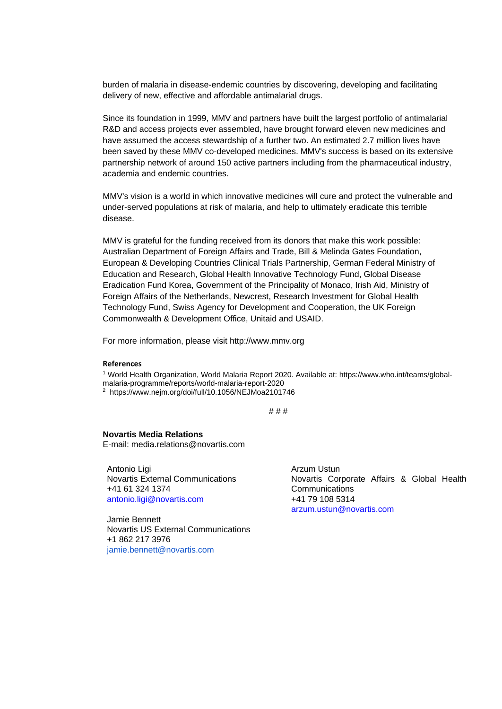burden of malaria in disease-endemic countries by discovering, developing and facilitating delivery of new, effective and affordable antimalarial drugs.

Since its foundation in 1999, MMV and partners have built the largest portfolio of antimalarial R&D and access projects ever assembled, have brought forward eleven new medicines and have assumed the access stewardship of a further two. An estimated 2.7 million lives have been saved by these MMV co-developed medicines. MMV's success is based on its extensive partnership network of around 150 active partners including from the pharmaceutical industry, academia and endemic countries.

MMV's vision is a world in which innovative medicines will cure and protect the vulnerable and under-served populations at risk of malaria, and help to ultimately eradicate this terrible disease.

MMV is grateful for the funding received from its donors that make this work possible: Australian Department of Foreign Affairs and Trade, Bill & Melinda Gates Foundation, European & Developing Countries Clinical Trials Partnership, German Federal Ministry of Education and Research, Global Health Innovative Technology Fund, Global Disease Eradication Fund Korea, Government of the Principality of Monaco, Irish Aid, Ministry of Foreign Affairs of the Netherlands, Newcrest, Research Investment for Global Health Technology Fund, Swiss Agency for Development and Cooperation, the UK Foreign Commonwealth & Development Office, Unitaid and USAID.

For more information, please visit http://www.mmv.org

#### **References**

<sup>1</sup> World Health Organization, World Malaria Report 2020. Available at: https://www.who.int/teams/globalmalaria-programme/reports/world-malaria-report-2020

<sup>2</sup> https://www.nejm.org/doi/full/10.1056/NEJMoa2101746

# # #

#### **Novartis Media Relations**

E-mail: media.relations@novartis.com

Antonio Ligi Novartis External Communications +41 61 324 1374 antonio.ligi@novartis.com

Jamie Bennett Novartis US External Communications +1 862 217 3976 [jamie.bennett@novartis.com](mailto:jamie.bennett@novartis.com)

Arzum Ustun Novartis Corporate Affairs & Global Health **Communications** +41 79 108 5314 arzum.ustun@novartis.com